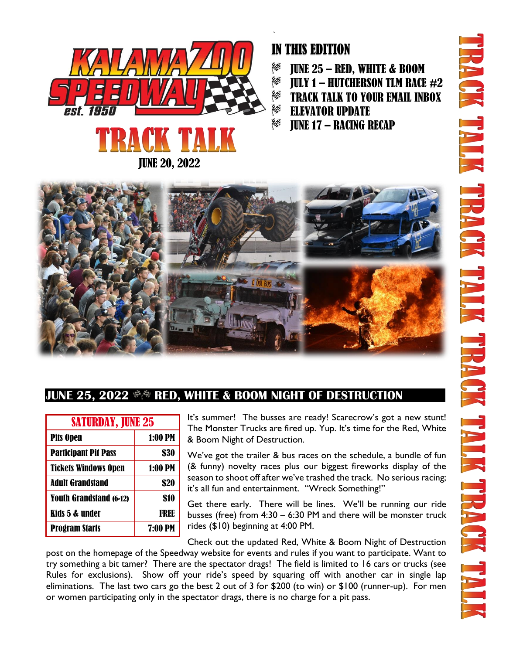



### ` IN THIS EDITION

- 貶 JUNE 25 – RED, WHITE & BOOM
- 矃 **JULY 1 – HUTCHERSON TLM RACE**  $#2$
- RØ TRACK TALK TO YOUR EMAIL INBOX
- 眑 ELEVATOR UPDATE
- 巨 JUNE 17 – RACING RECAP



## JUNE 25, 2022  $\,^{\text{\tiny\textregistered\!}}\!\!$  RED, WHITE & BOOM NIGHT OF DESTRUCTION

| <b>SATURDAY, JUNE 25</b>       |                |
|--------------------------------|----------------|
| <b>Pits Open</b>               | 1:00 PM        |
| <b>Participant Pit Pass</b>    | \$30           |
| <b>Tickets Windows Open</b>    | 1:00 PM        |
| <b>Adult Grandstand</b>        | \$20           |
| <b>Youth Grandstand (6-12)</b> | \$10           |
| Kids 5 & under                 | FRFE           |
| <b>Program Starts</b>          | <b>7:00 PM</b> |

It's summer! The busses are ready! Scarecrow's got a new stunt! The Monster Trucks are fired up. Yup. It's time for the Red, White & Boom Night of Destruction.

We've got the trailer & bus races on the schedule, a bundle of fun (& funny) novelty races plus our biggest fireworks display of the season to shoot off after we've trashed the track. No serious racing; it's all fun and entertainment. "Wreck Something!"

Get there early. There will be lines. We'll be running our ride busses (free) from 4:30 – 6:30 PM and there will be monster truck rides (\$10) beginning at 4:00 PM.

Check out the updated Red, White & Boom Night of Destruction

post on the homepage of the Speedway website for events and rules if you want to participate. Want to try something a bit tamer? There are the spectator drags! The field is limited to 16 cars or trucks (see Rules for exclusions). Show off your ride's speed by squaring off with another car in single lap eliminations. The last two cars go the best 2 out of 3 for \$200 (to win) or \$100 (runner-up). For men or women participating only in the spectator drags, there is no charge for a pit pass.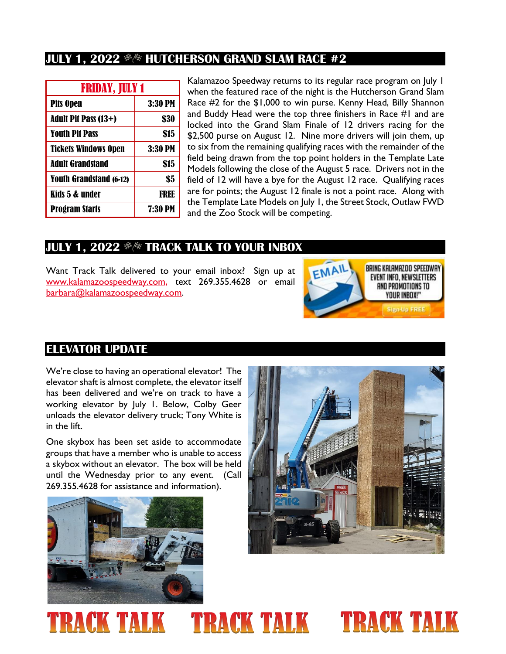### **JULY 1, 2022 \*\* HUTCHERSON GRAND SLAM RACE #2**

| <b>FRIDAY, JULY 1</b>          |                |
|--------------------------------|----------------|
| <b>Pits Open</b>               | 3:30 PM        |
| Adult Pit Pass (13+)           | \$30           |
| <b>Youth Pit Pass</b>          | \$15           |
| <b>Tickets Windows Open</b>    | 3:30 PM        |
| <b>Adult Grandstand</b>        | \$15           |
| <b>Youth Grandstand (6-12)</b> | \$5            |
| Kids 5 & under                 | FREE           |
| <b>Program Starts</b>          | <b>7:30 PM</b> |

Kalamazoo Speedway returns to its regular race program on July 1 when the featured race of the night is the Hutcherson Grand Slam Race #2 for the \$1,000 to win purse. Kenny Head, Billy Shannon and Buddy Head were the top three finishers in Race #1 and are locked into the Grand Slam Finale of 12 drivers racing for the \$2,500 purse on August 12. Nine more drivers will join them, up to six from the remaining qualifying races with the remainder of the field being drawn from the top point holders in the Template Late Models following the close of the August 5 race. Drivers not in the field of 12 will have a bye for the August 12 race. Qualifying races are for points; the August 12 finale is not a point race. Along with the Template Late Models on July 1, the Street Stock, Outlaw FWD and the Zoo Stock will be competing.

#### **JULY 1, 2022 \*\* TRACK TALK TO YOUR INBOX**

Want Track Talk delivered to your email inbox? Sign up at [www.kalamazoospeedway.com,](http://www.kalamazoospeedway.com/) text 269.355.4628 or email [barbara@kalamazoospeedway.com.](mailto:barbara@kalamazoospeedway.com)



### **ELEVATOR UPDATE**

We're close to having an operational elevator! The elevator shaft is almost complete, the elevator itself has been delivered and we're on track to have a working elevator by July 1. Below, Colby Geer unloads the elevator delivery truck; Tony White is in the lift.

One skybox has been set aside to accommodate groups that have a member who is unable to access a skybox without an elevator. The box will be held until the Wednesday prior to any event. (Call 269.355.4628 for assistance and information).





#### **TRACK TALK TRACK TALK** RACK TAL K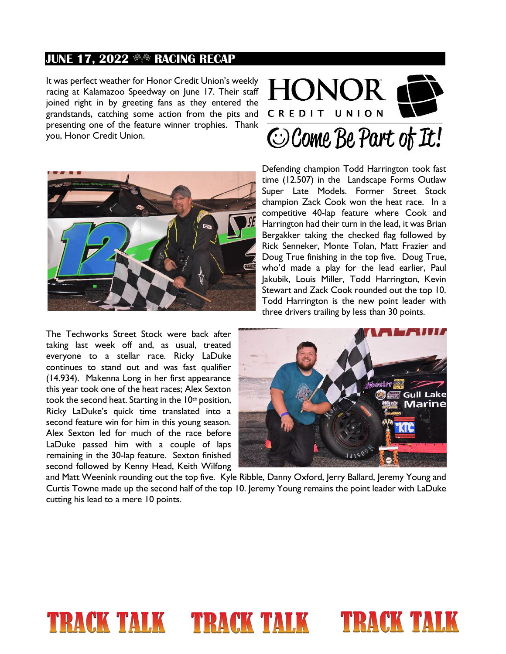#### **JUNE 17, 2022**  $\Re$  **RACING RECAP**

It was perfect weather for Honor Credit Union's weekly racing at Kalamazoo Speedway on June 17. Their staff joined right in by greeting fans as they entered the grandstands, catching some action from the pits and presenting one of the feature winner trophies. Thank you, Honor Credit Union.





Defending champion Todd Harrington took fast time (12.507) in the Landscape Forms Outlaw Super Late Models. Former Street Stock champion Zack Cook won the heat race. In a competitive 40-lap feature where Cook and Harrington had their turn in the lead, it was Brian Bergakker taking the checked flag followed by Rick Senneker, Monte Tolan, Matt Frazier and Doug True finishing in the top five. Doug True, who'd made a play for the lead earlier, Paul Jakubik, Louis Miller, Todd Harrington, Kevin Stewart and Zack Cook rounded out the top 10. Todd Harrington is the new point leader with three drivers trailing by less than 30 points.

The Techworks Street Stock were back after taking last week off and, as usual, treated everyone to a stellar race. Ricky LaDuke continues to stand out and was fast qualifier (14.934). Makenna Long in her first appearance this year took one of the heat races; Alex Sexton took the second heat. Starting in the 10<sup>th</sup> position, Ricky LaDuke's quick time translated into a second feature win for him in this young season. Alex Sexton led for much of the race before LaDuke passed him with a couple of laps remaining in the 30-lap feature. Sexton finished second followed by Kenny Head, Keith Wilfong



and Matt Weenink rounding out the top five. Kyle Ribble, Danny Oxford, Jerry Ballard, Jeremy Young and Curtis Towne made up the second half of the top 10. Jeremy Young remains the point leader with LaDuke cutting his lead to a mere 10 points.

# TRACK TALK TRACK TALK TRACK TALK